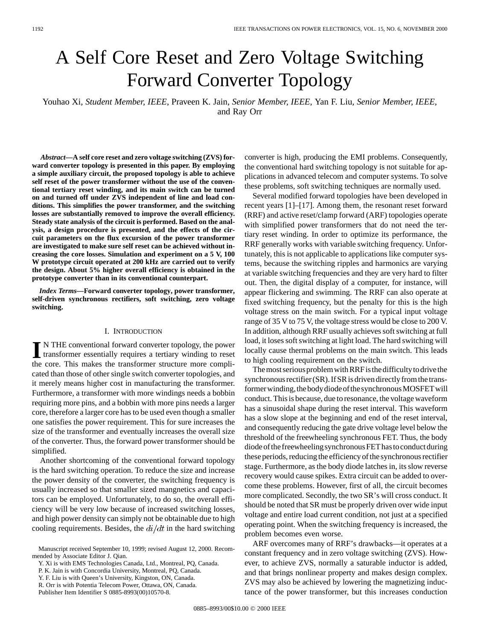# A Self Core Reset and Zero Voltage Switching Forward Converter Topology

Youhao Xi*, Student Member, IEEE*, Praveen K. Jain*, Senior Member, IEEE*, Yan F. Liu*, Senior Member, IEEE*, and Ray Orr

*Abstract—***A self core reset and zero voltage switching (ZVS) forward converter topology is presented in this paper. By employing a simple auxiliary circuit, the proposed topology is able to achieve self reset of the power transformer without the use of the conventional tertiary reset winding, and its main switch can be turned on and turned off under ZVS independent of line and load conditions. This simplifies the power transformer, and the switching losses are substantially removed to improve the overall efficiency. Steady state analysis of the circuit is performed. Based on the analysis, a design procedure is presented, and the effects of the circuit parameters on the flux excursion of the power transformer are investigated to make sure self reset can be achieved without increasing the core losses. Simulation and experiment on a 5 V, 100 W prototype circuit operated at 200 kHz are carried out to verify the design. About 5% higher overall efficiency is obtained in the prototype converter than in its conventional counterpart.**

*Index Terms—***Forward converter topology, power transformer, self-driven synchronous rectifiers, soft switching, zero voltage switching.**

#### I. INTRODUCTION

**I** N THE conventional forward converter topology, the power transformer essentially requires a tertiary winding to reset the core. This makes the transformer structure more complicated than those of other single switch converter topologies, and it merely means higher cost in manufacturing the transformer. Furthermore, a transformer with more windings needs a bobbin requiring more pins, and a bobbin with more pins needs a larger core, therefore a larger core has to be used even though a smaller one satisfies the power requirement. This for sure increases the size of the transformer and eventually increases the overall size of the converter. Thus, the forward power transformer should be simplified.

Another shortcoming of the conventional forward topology is the hard switching operation. To reduce the size and increase the power density of the converter, the switching frequency is usually increased so that smaller sized mangnetics and capacitors can be employed. Unfortunately, to do so, the overall efficiency will be very low because of increased switching losses, and high power density can simply not be obtainable due to high cooling requirements. Besides, the  $di/dt$  in the hard switching converter is high, producing the EMI problems. Consequently, the conventional hard switching topology is not suitable for applications in advanced telecom and computer systems. To solve these problems, soft switching techniques are normally used.

Several modified forward topologies have been developed in recent years [1]–[17]. Among them, the resonant reset forward (RRF) and active reset/clamp forward (ARF) topologies operate with simplified power transformers that do not need the tertiary reset winding. In order to optimize its performance, the RRF generally works with variable switching frequency. Unfortunately, this is not applicable to applications like computer systems, because the switching ripples and harmonics are varying at variable switching frequencies and they are very hard to filter out. Then, the digital display of a computer, for instance, will appear flickering and swimming. The RRF can also operate at fixed switching frequency, but the penalty for this is the high voltage stress on the main switch. For a typical input voltage range of 35 V to 75 V, the voltage stress would be close to 200 V. In addition, although RRF usually achieves soft switching at full load, it loses soft switching at light load. The hard switching will locally cause thermal problems on the main switch. This leads to high cooling requirement on the switch.

The most serious problem with RRF is the difficulty to drive the synchronous rectifier (SR). If SR is driven directly from the transformer winding, the body diode of the synchronous MOSFET will conduct. This is because, due to resonance, the voltage waveform has a sinusoidal shape during the reset interval. This waveform has a slow slope at the beginning and end of the reset interval, and consequently reducing the gate drive voltage level below the threshold of the freewheeling synchronous FET. Thus, the body diode of the freewheeling synchronous FET has to conduct during these periods, reducing the efficiency of the synchronous rectifier stage. Furthermore, as the body diode latches in, its slow reverse recovery would cause spikes. Extra circuit can be added to overcome these problems. However, first of all, the circuit becomes more complicated. Secondly, the two SR's will cross conduct. It should be noted that SR must be properly driven over wide input voltage and entire load current condition, not just at a specified operating point. When the switching frequency is increased, the problem becomes even worse.

ARF overcomes many of RRF's drawbacks—it operates at a constant frequency and in zero voltage switching (ZVS). However, to achieve ZVS, normally a saturable inductor is added, and that brings nonlinear property and makes design complex. ZVS may also be achieved by lowering the magnetizing inductance of the power transformer, but this increases conduction

Manuscript received September 10, 1999; revised August 12, 2000. Recommended by Associate Editor J. Qian.

Y. Xi is with EMS Technologies Canada, Ltd., Montreal, PQ, Canada.

P. K. Jain is with Concordia University, Montreal, PQ, Canada.

Y. F. Liu is with Queen's University, Kingston, ON, Canada.

R. Orr is with Potentia Telecom Power, Ottawa, ON, Canada.

Publisher Item Identifier S 0885-8993(00)10570-8.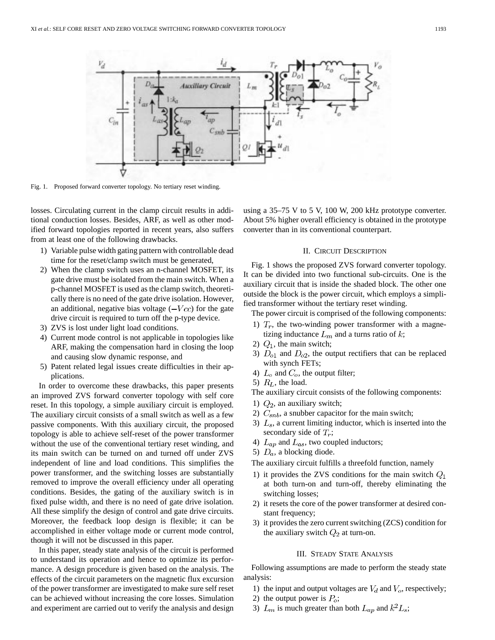

Fig. 1. Proposed forward converter topology. No tertiary reset winding.

losses. Circulating current in the clamp circuit results in additional conduction losses. Besides, ARF, as well as other modified forward topologies reported in recent years, also suffers from at least one of the following drawbacks.

- 1) Variable pulse width gating pattern with controllable dead time for the reset/clamp switch must be generated,
- 2) When the clamp switch uses an n-channel MOSFET, its gate drive must be isolated from the main switch. When a p-channel MOSFET is used as the clamp switch, theoretically there is no need of the gate drive isolation. However, an additional, negative bias voltage  $(-Vcc)$  for the gate drive circuit is required to turn off the p-type device.
- 3) ZVS is lost under light load conditions.
- 4) Current mode control is not applicable in topologies like ARF, making the compensation hard in closing the loop and causing slow dynamic response, and
- 5) Patent related legal issues create difficulties in their applications.

In order to overcome these drawbacks, this paper presents an improved ZVS forward converter topology with self core reset. In this topology, a simple auxiliary circuit is employed. The auxiliary circuit consists of a small switch as well as a few passive components. With this auxiliary circuit, the proposed topology is able to achieve self-reset of the power transformer without the use of the conventional tertiary reset winding, and its main switch can be turned on and turned off under ZVS independent of line and load conditions. This simplifies the power transformer, and the switching losses are substantially removed to improve the overall efficiency under all operating conditions. Besides, the gating of the auxiliary switch is in fixed pulse width, and there is no need of gate drive isolation. All these simplify the design of control and gate drive circuits. Moreover, the feedback loop design is flexible; it can be accomplished in either voltage mode or current mode control, though it will not be discussed in this paper.

In this paper, steady state analysis of the circuit is performed to understand its operation and hence to optimize its performance. A design procedure is given based on the analysis. The effects of the circuit parameters on the magnetic flux excursion of the power transformer are investigated to make sure self reset can be achieved without increasing the core losses. Simulation and experiment are carried out to verify the analysis and design using a 35–75 V to 5 V, 100 W, 200 kHz prototype converter. About 5% higher overall efficiency is obtained in the prototype converter than in its conventional counterpart.

## II. CIRCUIT DESCRIPTION

Fig. 1 shows the proposed ZVS forward converter topology. It can be divided into two functional sub-circuits. One is the auxiliary circuit that is inside the shaded block. The other one outside the block is the power circuit, which employs a simplified transformer without the tertiary reset winding.

The power circuit is comprised of the following components:

- 1)  $T_r$ , the two-winding power transformer with a magnetizing inductance  $L_m$  and a turns ratio of  $k$ ;
- 2)  $Q_1$ , the main switch;
- 3)  $D_{o1}$  and  $D_{o2}$ , the output rectifiers that can be replaced with synch FETs;
- 4)  $L_o$  and  $C_o$ , the output filter;
- 5)  $R_L$ , the load.
- The auxiliary circuit consists of the following components:
- 1)  $Q_2$ , an auxiliary switch;
- 2)  $C_{snb}$ , a snubber capacitor for the main switch;
- 3)  $L_s$ , a current limiting inductor, which is inserted into the secondary side of  $T_r$ ;
- 4)  $L_{ap}$  and  $L_{as}$ , two coupled inductors;
- 5)  $D_a$ , a blocking diode.
- The auxiliary circuit fulfills a threefold function, namely
- 1) it provides the ZVS conditions for the main switch  $Q_1$ at both turn-on and turn-off, thereby eliminating the switching losses;
- 2) it resets the core of the power transformer at desired constant frequency;
- 3) it provides the zero current switching (ZCS) condition for the auxiliary switch  $Q_2$  at turn-on.

#### III. STEADY STATE ANALYSIS

Following assumptions are made to perform the steady state analysis:

- 1) the input and output voltages are  $V_d$  and  $V_o$ , respectively;
- 2) the output power is  $P_o$ ;
- 3)  $L_m$  is much greater than both  $L_{ap}$  and  $k^2 L_s$ ;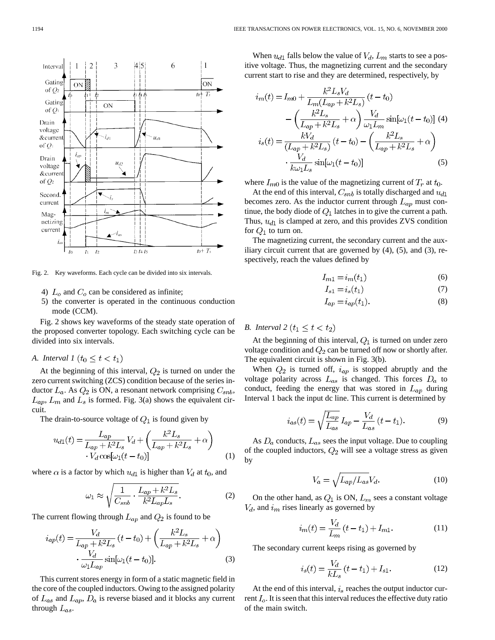

Fig. 2. Key waveforms. Each cycle can be divided into six intervals.

- 4)  $L_0$  and  $C_0$  can be considered as infinite;
- 5) the converter is operated in the continuous conduction mode (CCM).

Fig. 2 shows key waveforms of the steady state operation of the proposed converter topology. Each switching cycle can be divided into six intervals.

*A. Interval 1*  $(t_0 \leq t < t_1)$ 

At the beginning of this interval,  $Q_2$  is turned on under the zero current switching (ZCS) condition because of the series inductor  $L_a$ . As  $Q_2$  is ON, a resonant network comprising  $C_{snb}$ ,  $L_{ap}$ ,  $L_m$  and  $L_s$  is formed. Fig. 3(a) shows the equivalent circuit.

The drain-to-source voltage of  $Q_1$  is found given by

$$
u_{d1}(t) = \frac{L_{ap}}{L_{ap} + k^2 L_s} V_d + \left(\frac{k^2 L_s}{L_{ap} + k^2 L_s} + \alpha\right) \cdot V_d \cos[\omega_1(t - t_0)]
$$
 (1)

where  $\alpha$  is a factor by which  $u_{d1}$  is higher than  $V_d$  at  $t_0$ , and

$$
\omega_1 \approx \sqrt{\frac{1}{C_{snb}} \cdot \frac{L_{ap} + k^2 L_s}{k^2 L_{ap} L_s}}.
$$
 (2)

The current flowing through  $L_{ap}$  and  $Q_2$  is found to be

$$
i_{ap}(t) = \frac{V_d}{L_{ap} + k^2 L_s} (t - t_0) + \left(\frac{k^2 L_s}{L_{ap} + k^2 L_s} + \alpha\right)
$$

$$
\cdot \frac{V_d}{\omega_1 L_{ap}} \sin[\omega_1 (t - t_0)].
$$
 (3)

This current stores energy in form of a static magnetic field in the core of the coupled inductors. Owing to the assigned polarity of  $L_{as}$  and  $L_{ap}$ ,  $D_a$  is reverse biased and it blocks any current through  $L_{as}$ .

When  $u_{d1}$  falls below the value of  $V_d$ ,  $L_m$  starts to see a positive voltage. Thus, the magnetizing current and the secondary current start to rise and they are determined, respectively, by

$$
i_m(t) = I_{m0} + \frac{k^2 L_s V_d}{L_m (L_{ap} + k^2 L_s)} (t - t_0)
$$
  

$$
- \left(\frac{k^2 L_s}{L_{ap} + k^2 L_s} + \alpha\right) \frac{V_d}{\omega_1 L_m} \sin[\omega_1 (t - t_0)]
$$
(4)  

$$
i_s(t) = \frac{kV_d}{(L_{ap} + k^2 L_s)} (t - t_0) - \left(\frac{k^2 L_s}{L_{ap} + k^2 L_s} + \alpha\right)
$$
  

$$
\cdot \frac{V_d}{k \omega_1 L_s} \sin[\omega_1 (t - t_0)]
$$
 (5)

where  $I_{m0}$  is the value of the magnetizing current of  $T_r$  at  $t_0$ .

At the end of this interval,  $C_{snb}$  is totally discharged and  $u_{d1}$ becomes zero. As the inductor current through  $L_{ap}$  must continue, the body diode of  $Q_1$  latches in to give the current a path. Thus,  $u_{d1}$  is clamped at zero, and this provides ZVS condition for  $Q_1$  to turn on.

The magnetizing current, the secondary current and the auxiliary circuit current that are governed by (4), (5), and (3), respectively, reach the values defined by

$$
I_{m1} = i_m(t_1) \tag{6}
$$

$$
I_{s1} = i_s(t_1) \tag{7}
$$

$$
I_{ap} = i_{ap}(t_1). \tag{8}
$$

## *B. Interval*  $2(t_1 \leq t < t_2)$

At the beginning of this interval,  $Q_1$  is turned on under zero voltage condition and  $Q_2$  can be turned off now or shortly after. The equivalent circuit is shown in Fig. 3(b).

When  $Q_2$  is turned off,  $i_{ap}$  is stopped abruptly and the voltage polarity across  $L_{as}$  is changed. This forces  $D_a$  to conduct, feeding the energy that was stored in  $L_{ap}$  during Interval 1 back the input dc line. This current is determined by

$$
i_{as}(t) = \sqrt{\frac{L_{ap}}{L_{as}}} I_{ap} - \frac{V_d}{L_{as}}(t - t_1).
$$
 (9)

As  $D_a$  conducts,  $L_{as}$  sees the input voltage. Due to coupling of the coupled inductors,  $Q_2$  will see a voltage stress as given by

$$
V_a = \sqrt{L_{ap}/L_{as}} V_d.
$$
 (10)

On the other hand, as  $Q_1$  is ON,  $L_m$  sees a constant voltage  $V_d$ , and  $i_m$  rises linearly as governed by

$$
i_m(t) = \frac{V_d}{L_m}(t - t_1) + I_{m1}.
$$
 (11)

The secondary current keeps rising as governed by

$$
i_s(t) = \frac{V_d}{kL_s} (t - t_1) + I_{s1}.
$$
 (12)

At the end of this interval,  $i<sub>s</sub>$  reaches the output inductor current  $I<sub>o</sub>$ . It is seen that this interval reduces the effective duty ratio of the main switch.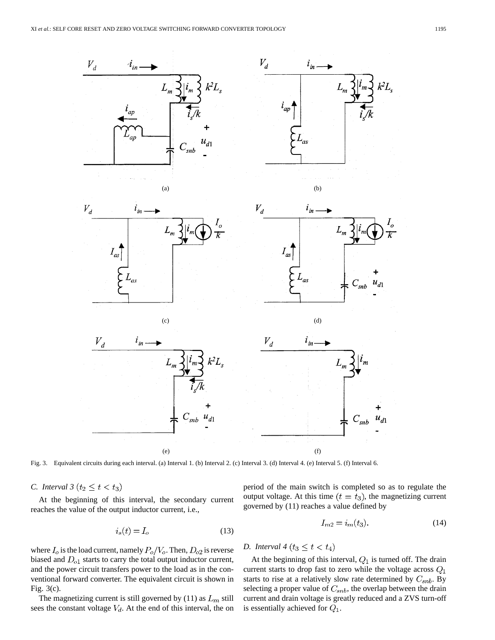

Fig. 3. Equivalent circuits during each interval. (a) Interval 1. (b) Interval 2. (c) Interval 3. (d) Interval 4. (e) Interval 5. (f) Interval 6.

*C.* Interval 3  $(t_2 \leq t < t_3)$ 

At the beginning of this interval, the secondary current reaches the value of the output inductor current, i.e.,

$$
i_s(t) = I_o \tag{13}
$$

where  $I_o$  is the load current, namely  $P_o/V_o$ . Then,  $D_{o2}$  is reverse biased and  $D_{o1}$  starts to carry the total output inductor current, and the power circuit transfers power to the load as in the conventional forward converter. The equivalent circuit is shown in Fig. 3(c).

The magnetizing current is still governed by (11) as  $L_m$  still sees the constant voltage  $V_d$ . At the end of this interval, the on period of the main switch is completed so as to regulate the output voltage. At this time  $(t = t_3)$ , the magnetizing current governed by (11) reaches a value defined by

$$
I_{m2} = i_m(t_3). \tag{14}
$$

*D.* Interval  $4(t_3 \le t < t_4)$ 

At the beginning of this interval,  $Q_1$  is turned off. The drain current starts to drop fast to zero while the voltage across  $Q_1$ starts to rise at a relatively slow rate determined by  $C_{snb}$ . By selecting a proper value of  $C_{snb}$ , the overlap between the drain current and drain voltage is greatly reduced and a ZVS turn-off is essentially achieved for  $Q_1$ .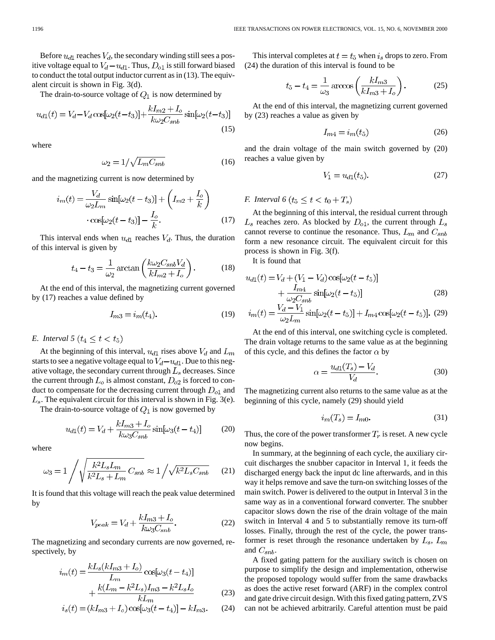Before  $u_{d1}$  reaches  $V_d$ , the secondary winding still sees a positive voltage equal to  $V_d - u_{d1}$ . Thus,  $D_{o1}$  is still forward biased to conduct the total output inductor current as in (13). The equivalent circuit is shown in Fig. 3(d).

The drain-to-source voltage of  $Q_1$  is now determined by

$$
u_{d1}(t) = V_d - V_d \cos[\omega_2(t - t_3)] + \frac{kI_{m2} + I_o}{k\omega_2 C_{snb}} \sin[\omega_2(t - t_3)]
$$
\n(15)

where

$$
\omega_2 = 1/\sqrt{L_m C_{snb}}\tag{16}
$$

and the magnetizing current is now determined by

$$
i_m(t) = \frac{V_d}{\omega_2 L_m} \sin[\omega_2(t - t_3)] + \left(I_{m2} + \frac{I_o}{k}\right)
$$

$$
\cdot \cos[\omega_2(t - t_3)] - \frac{I_o}{k}.
$$
 (17)

This interval ends when  $u_{d1}$  reaches  $V_d$ . Thus, the duration of this interval is given by

$$
t_4 - t_3 = \frac{1}{\omega_2} \arctan\left(\frac{k\omega_2 C_{snb} V_d}{kI_{m2} + I_o}\right). \tag{18}
$$

At the end of this interval, the magnetizing current governed by (17) reaches a value defined by

$$
I_{m3} = i_m(t_4). \tag{19}
$$

*E.* Interval 5  $(t_4 \leq t \leq t_5)$ 

At the beginning of this interval,  $u_{d1}$  rises above  $V_d$  and  $L_m$ starts to see a negative voltage equal to  $V_d - u_{d1}$ . Due to this negative voltage, the secondary current through  $L_s$  decreases. Since the current through  $L_0$  is almost constant,  $D_{02}$  is forced to conduct to compensate for the decreasing current through  $D_{o1}$  and  $L_s$ . The equivalent circuit for this interval is shown in Fig. 3(e).

The drain-to-source voltage of  $Q_1$  is now governed by

$$
u_{d1}(t) = V_d + \frac{kI_{m3} + I_o}{k\omega_3 C_{snb}} \sin[\omega_3 (t - t_4)]
$$
 (20)

where

$$
\omega_3 = 1 / \sqrt{\frac{k^2 L_s L_m}{k^2 L_s + L_m} C_{snb}} \approx 1 / \sqrt{k^2 L_s C_{snb}} \quad (21)
$$

It is found that this voltage will reach the peak value determined by

$$
V_{peak} = V_d + \frac{kI_{m3} + I_o}{k\omega_3 C_{snb}}.\tag{22}
$$

The magnetizing and secondary currents are now governed, respectively, by

$$
i_m(t) = \frac{kL_s(kI_m3 + I_o)}{L_m} \cos[\omega_3(t - t_4)] + \frac{k(L_m - k^2L_s)I_{m3} - k^2L_sI_o}{kL_m}
$$
(23)

$$
i_s(t) = (kI_{m3} + I_o) \cos[\omega_3(t - t_4)] - kI_{m3}.
$$
 (24)

This interval completes at  $t = t_5$  when  $i_s$  drops to zero. From (24) the duration of this interval is found to be

$$
t_5 - t_4 = \frac{1}{\omega_3} \arccos\left(\frac{kI_{m3}}{kI_{m3} + I_o}\right). \tag{25}
$$

At the end of this interval, the magnetizing current governed by (23) reaches a value as given by

$$
I_{m4} = i_m(t_5) \tag{26}
$$

and the drain voltage of the main switch governed by (20) reaches a value given by

$$
V_1 = u_{d1}(t_5). \t\t(27)
$$

*F.* Interval 6 ( $t_5 \le t < t_0 + T_s$ )

At the beginning of this interval, the residual current through  $L_s$  reaches zero. As blocked by  $D_{o1}$ , the current through  $L_s$ cannot reverse to continue the resonance. Thus,  $L_m$  and  $C_{sub}$ form a new resonance circuit. The equivalent circuit for this process is shown in Fig. 3(f).

It is found that

$$
u_{d1}(t) = V_d + (V_1 - V_d) \cos[\omega_2(t - t_5)] + \frac{I_{m4}}{\omega_2 C_{snb}} \sin[\omega_2(t - t_5)]
$$
\n
$$
V_1 - V_2
$$
\n(28)

$$
i_m(t) = \frac{V_d - V_1}{\omega_2 L_m} \sin[\omega_2(t - t_5)] + I_{m4} \cos[\omega_2(t - t_5)]. \tag{29}
$$

At the end of this interval, one switching cycle is completed. The drain voltage returns to the same value as at the beginning of this cycle, and this defines the factor  $\alpha$  by

$$
\alpha = \frac{u_{d1}(T_s) - V_d}{V_d}.\tag{30}
$$

The magnetizing current also returns to the same value as at the beginning of this cycle, namely (29) should yield

$$
i_m(T_s) = I_{m0}.\tag{31}
$$

Thus, the core of the power transformer  $T_r$  is reset. A new cycle now begins.

In summary, at the beginning of each cycle, the auxiliary circuit discharges the snubber capacitor in Interval 1, it feeds the discharged energy back the input dc line afterwards, and in this way it helps remove and save the turn-on switching losses of the main switch. Power is delivered to the output in Interval 3 in the same way as in a conventional forward converter. The snubber capacitor slows down the rise of the drain voltage of the main switch in Interval 4 and 5 to substantially remove its turn-off losses. Finally, through the rest of the cycle, the power transformer is reset through the resonance undertaken by  $L_s$ ,  $L_m$ and  $C_{snb}$ .

A fixed gating pattern for the auxiliary switch is chosen on purpose to simplify the design and implementation, otherwise the proposed topology would suffer from the same drawbacks as does the active reset forward (ARF) in the complex control and gate drive circuit design. With this fixed gating pattern, ZVS can not be achieved arbitrarily. Careful attention must be paid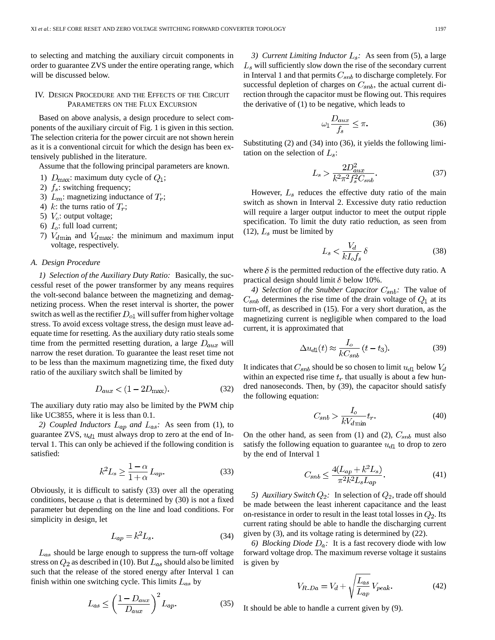to selecting and matching the auxiliary circuit components in order to guarantee ZVS under the entire operating range, which will be discussed below.

## IV. DESIGN PROCEDURE AND THE EFFECTS OF THE CIRCUIT PARAMETERS ON THE FLUX EXCURSION

Based on above analysis, a design procedure to select components of the auxiliary circuit of Fig. 1 is given in this section. The selection criteria for the power circuit are not shown herein as it is a conventional circuit for which the design has been extensively published in the literature.

Assume that the following principal parameters are known.

- 1)  $D_{\text{max}}$ : maximum duty cycle of  $Q_1$ ;
- 2)  $f_s$ : switching frequency;
- 3)  $L_m$ : magnetizing inductance of  $T_r$ ;
- 4) k: the turns ratio of  $T_r$ ;
- 5)  $V<sub>o</sub>$ : output voltage;
- 6)  $I_o$ : full load current;
- 7)  $V_{d\text{min}}$  and  $V_{d\text{max}}$ : the minimum and maximum input voltage, respectively.

## *A. Design Procedure*

*1) Selection of the Auxiliary Duty Ratio:* Basically, the successful reset of the power transformer by any means requires the volt-second balance between the magnetizing and demagnetizing process. When the reset interval is shorter, the power switch as well as the rectifier  $D_{o1}$  will suffer from higher voltage stress. To avoid excess voltage stress, the design must leave adequate time for resetting. As the auxiliary duty ratio steals some time from the permitted resetting duration, a large  $D_{aux}$  will narrow the reset duration. To guarantee the least reset time not to be less than the maximum magnetizing time, the fixed duty ratio of the auxiliary switch shall be limited by

$$
D_{aux} < (1 - 2D_{\text{max}}). \tag{32}
$$

The auxiliary duty ratio may also be limited by the PWM chip like UC3855, where it is less than 0.1.

*2) Coupled Inductors*  $L_{ap}$  *and*  $L_{as}$ : As seen from (1), to guarantee ZVS,  $u_{d1}$  must always drop to zero at the end of Interval 1. This can only be achieved if the following condition is satisfied:

$$
k^2 L_s \ge \frac{1-\alpha}{1+\alpha} L_{ap}.\tag{33}
$$

Obviously, it is difficult to satisfy (33) over all the operating conditions, because  $\alpha$  that is determined by (30) is not a fixed parameter but depending on the line and load conditions. For simplicity in design, let

$$
L_{ap} = k^2 L_s. \tag{34}
$$

 $L_{as}$  should be large enough to suppress the turn-off voltage stress on  $Q_2$  as described in (10). But  $L_{as}$  should also be limited such that the release of the stored energy after Interval 1 can finish within one switching cycle. This limits  $L_{as}$  by

$$
L_{as} \le \left(\frac{1 - D_{aux}}{D_{aux}}\right)^2 L_{ap}.\tag{35}
$$

*3) Current Limiting Inductor*  $L_s$ : As seen from (5), a large  $L<sub>s</sub>$  will sufficiently slow down the rise of the secondary current in Interval 1 and that permits  $C_{snb}$  to discharge completely. For successful depletion of charges on  $C_{snb}$ , the actual current direction through the capacitor must be flowing out. This requires the derivative of (1) to be negative, which leads to

$$
\omega_1 \frac{D_{aux}}{f_s} \le \pi. \tag{36}
$$

Substituting (2) and (34) into (36), it yields the following limitation on the selection of  $L_s$ :

$$
L_s > \frac{2D_{aux}^2}{k^2 \pi^2 f_s^2 C_{snb}}.\tag{37}
$$

However,  $L<sub>s</sub>$  reduces the effective duty ratio of the main switch as shown in Interval 2. Excessive duty ratio reduction will require a larger output inductor to meet the output ripple specification. To limit the duty ratio reduction, as seen from  $(12)$ ,  $L<sub>s</sub>$  must be limited by

$$
L_s < \frac{V_d}{k I_o f_s} \delta \tag{38}
$$

where  $\delta$  is the permitted reduction of the effective duty ratio. A practical design should limit  $\delta$  below 10%.

*4) Selection of the Snubber Capacitor*  $C_{snb}$ : The value of  $C_{snb}$  determines the rise time of the drain voltage of  $Q_1$  at its turn-off, as described in (15). For a very short duration, as the magnetizing current is negligible when compared to the load current, it is approximated that

$$
\Delta u_{d1}(t) \approx \frac{I_o}{kC_{snb}} \left( t - t_3 \right). \tag{39}
$$

It indicates that  $C_{snb}$  should be so chosen to limit  $u_{d1}$  below  $V_d$ within an expected rise time  $t_r$  that usually is about a few hundred nanoseconds. Then, by (39), the capacitor should satisfy the following equation:

$$
C_{snb} > \frac{I_o}{kV_{d\min}} t_r.
$$
\n(40)

On the other hand, as seen from (1) and (2),  $C_{snb}$  must also satisfy the following equation to guarantee  $u_{d1}$  to drop to zero by the end of Interval 1

$$
C_{snb} \le \frac{4(L_{ap} + k^2 L_s)}{\pi^2 k^2 L_s L_{ap}}.\tag{41}
$$

*5) Auxiliary Switch*  $Q_2$ : In selection of  $Q_2$ , trade off should be made between the least inherent capacitance and the least on-resistance in order to result in the least total losses in  $Q_2$ . Its current rating should be able to handle the discharging current given by (3), and its voltage rating is determined by (22).

6) Blocking Diode  $D_a$ : It is a fast recovery diode with low forward voltage drop. The maximum reverse voltage it sustains is given by

$$
V_{R\text{-}Da} = V_d + \sqrt{\frac{L_{as}}{L_{ap}}} V_{peak}.
$$
 (42)

It should be able to handle a current given by (9).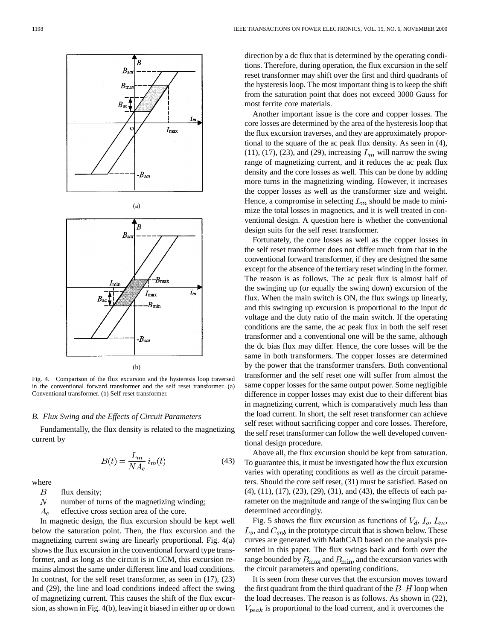

Fig. 4. Comparison of the flux excursion and the hysteresis loop traversed in the conventional forward transformer and the self reset transformer. (a) Conventional transformer. (b) Self reset transformer.

## *B. Flux Swing and the Effects of Circuit Parameters*

Fundamentally, the flux density is related to the magnetizing current by

$$
B(t) = \frac{L_m}{NA_e} i_m(t)
$$
\n(43)

where

- B flux density;
- $\cal N$ number of turns of the magnetizing winding;
- $A_e$ effective cross section area of the core.

In magnetic design, the flux excursion should be kept well below the saturation point. Then, the flux excursion and the magnetizing current swing are linearly proportional. Fig. 4(a) shows the flux excursion in the conventional forward type transformer, and as long as the circuit is in CCM, this excursion remains almost the same under different line and load conditions. In contrast, for the self reset transformer, as seen in (17), (23) and (29), the line and load conditions indeed affect the swing of magnetizing current. This causes the shift of the flux excursion, as shown in Fig. 4(b), leaving it biased in either up or down direction by a dc flux that is determined by the operating conditions. Therefore, during operation, the flux excursion in the self reset transformer may shift over the first and third quadrants of the hysteresis loop. The most important thing is to keep the shift from the saturation point that does not exceed 3000 Gauss for most ferrite core materials.

Another important issue is the core and copper losses. The core losses are determined by the area of the hysteresis loop that the flux excursion traverses, and they are approximately proportional to the square of the ac peak flux density. As seen in (4), (11), (17), (23), and (29), increasing  $L_m$  will narrow the swing range of magnetizing current, and it reduces the ac peak flux density and the core losses as well. This can be done by adding more turns in the magnetizing winding. However, it increases the copper losses as well as the transformer size and weight. Hence, a compromise in selecting  $L_m$  should be made to minimize the total losses in magnetics, and it is well treated in conventional design. A question here is whether the conventional design suits for the self reset transformer.

Fortunately, the core losses as well as the copper losses in the self reset transformer does not differ much from that in the conventional forward transformer, if they are designed the same except for the absence of the tertiary reset winding in the former. The reason is as follows. The ac peak flux is almost half of the swinging up (or equally the swing down) excursion of the flux. When the main switch is ON, the flux swings up linearly, and this swinging up excursion is proportional to the input dc voltage and the duty ratio of the main switch. If the operating conditions are the same, the ac peak flux in both the self reset transformer and a conventional one will be the same, although the dc bias flux may differ. Hence, the core losses will be the same in both transformers. The copper losses are determined by the power that the transformer transfers. Both conventional transformer and the self reset one will suffer from almost the same copper losses for the same output power. Some negligible difference in copper losses may exist due to their different bias in magnetizing current, which is comparatively much less than the load current. In short, the self reset transformer can achieve self reset without sacrificing copper and core losses. Therefore, the self reset transformer can follow the well developed conventional design procedure.

Above all, the flux excursion should be kept from saturation. To guarantee this, it must be investigated how the flux excursion varies with operating conditions as well as the circuit parameters. Should the core self reset, (31) must be satisfied. Based on (4), (11), (17), (23), (29), (31), and (43), the effects of each parameter on the magnitude and range of the swinging flux can be determined accordingly.

Fig. 5 shows the flux excursion as functions of  $V_d$ ,  $I_o$ ,  $L_m$ ,  $L_s$ , and  $C_{snb}$  in the prototype circuit that is shown below. These curves are generated with MathCAD based on the analysis presented in this paper. The flux swings back and forth over the range bounded by  $B_{\text{max}}$  and  $B_{\text{min}}$ , and the excursion varies with the circuit parameters and operating conditions.

It is seen from these curves that the excursion moves toward the first quadrant from the third quadrant of the  $B-H$  loop when the load decreases. The reason is as follows. As shown in (22),  $V_{peak}$  is proportional to the load current, and it overcomes the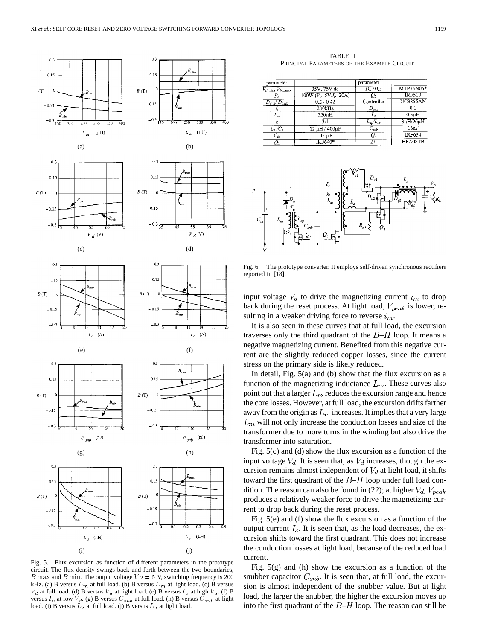

Fig. 5. Flux excursion as function of different parameters in the prototype circuit. The flux density swings back and forth between the two boundaries, B max and B min. The output voltage  $V o = 5$  V, switching frequency is 200 kHz. (a) B versus  $L_m$  at full load. (b) B versus  $L_m$  at light load. (c) B versus  $V_d$  at full load. (d) B versus  $V_d$  at light load. (e) B versus  $I_o$  at high  $V_d$ . (f) B versus  $I_o$  at low  $V_d$ . (g) B versus  $C_{sub}$  at full load. (h) B versus  $C_{sub}$  at light load. (i) B versus  $L_s$  at full load. (j) B versus  $L_s$  at light load.

TABLE I PRINCIPAL PARAMETERS OF THE EXAMPLE CIRCUIT

| parameter                                  |                        | parameter          |                 |
|--------------------------------------------|------------------------|--------------------|-----------------|
| $V_{d \min}$ , $V_{in \max}$               | 35V, 75V de            | $D_{o1}/D_{o2}$    | MTP75N05*       |
|                                            | $100W (Vo=5V, Io=20A)$ | Ø3                 | <b>IRF510</b>   |
| $D_{\text{min}}/\overline{D_{\text{max}}}$ | 0.2 / 0.42             | Controller         | <b>UC3855AN</b> |
|                                            | 200kHz                 | $D_{a\alpha}$      |                 |
| $L_m$                                      | 320µH                  | $L_{\rm s}$        | $0.3\mu H$      |
|                                            | 3:1                    | $L_{ap}/L_{as}$    | 3μH/96μH        |
| $L_o/C_o$                                  | 12 µH / 400µF          | $C_{\mathit{snb}}$ | 16nF            |
| $C_{in}$                                   | $100\mu F$             | Q2                 | <b>IRF634</b>   |
| Ω.                                         | <b>TRF640*</b>         | D.                 | HFA08TB         |



Fig. 6. The prototype converter. It employs self-driven synchronous rectifiers reported in [18].

input voltage  $V_d$  to drive the magnetizing current  $i_m$  to drop back during the reset process. At light load,  $V_{peak}$  is lower, resulting in a weaker driving force to reverse  $i_m$ .

It is also seen in these curves that at full load, the excursion traverses only the third quadrant of the  $B-H$  loop. It means a negative magnetizing current. Benefited from this negative current are the slightly reduced copper losses, since the current stress on the primary side is likely reduced.

In detail, Fig. 5(a) and (b) show that the flux excursion as a function of the magnetizing inductance  $L<sub>m</sub>$ . These curves also point out that a larger  $L_m$  reduces the excursion range and hence the core losses. However, at full load, the excursion drifts farther away from the origin as  $L_m$  increases. It implies that a very large  $L_m$  will not only increase the conduction losses and size of the transformer due to more turns in the winding but also drive the transformer into saturation.

Fig. 5(c) and (d) show the flux excursion as a function of the input voltage  $V_d$ . It is seen that, as  $V_d$  increases, though the excursion remains almost independent of  $V_d$  at light load, it shifts toward the first quadrant of the  $B-H$  loop under full load condition. The reason can also be found in (22); at higher  $V_d$ ,  $V_{peak}$ produces a relatively weaker force to drive the magnetizing current to drop back during the reset process.

Fig. 5(e) and (f) show the flux excursion as a function of the output current  $I_o$ . It is seen that, as the load decreases, the excursion shifts toward the first quadrant. This does not increase the conduction losses at light load, because of the reduced load current.

Fig.  $5(g)$  and (h) show the excursion as a function of the snubber capacitor  $C_{snb}$ . It is seen that, at full load, the excursion is almost independent of the snubber value. But at light load, the larger the snubber, the higher the excursion moves up into the first quadrant of the  $B-H$  loop. The reason can still be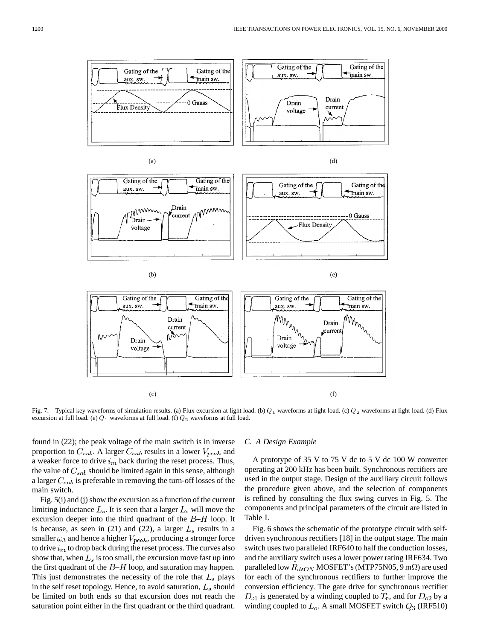

Fig. 7. Typical key waveforms of simulation results. (a) Flux excursion at light load. (b)  $Q_1$  waveforms at light load. (c)  $Q_2$  waveforms at light load. (d) Flux excursion at full load. (e)  $Q_1$  waveforms at full load. (f)  $Q_2$  waveforms at full load.

found in (22); the peak voltage of the main switch is in inverse proportion to  $C_{snb}$ . A larger  $C_{snb}$  results in a lower  $V_{peak}$  and a weaker force to drive  $i_m$  back during the reset process. Thus, the value of  $C_{snb}$  should be limited again in this sense, although a larger  $C_{snb}$  is preferable in removing the turn-off losses of the main switch.

Fig. 5(i) and (j) show the excursion as a function of the current limiting inductance  $L_s$ . It is seen that a larger  $L_s$  will move the excursion deeper into the third quadrant of the  $B-H$  loop. It is because, as seen in (21) and (22), a larger  $L<sub>s</sub>$  results in a smaller  $\omega_3$  and hence a higher  $V_{peak}$ , producing a stronger force to drive  $i<sub>m</sub>$  to drop back during the reset process. The curves also show that, when  $L_s$  is too small, the excursion move fast up into the first quadrant of the  $B-H$  loop, and saturation may happen. This just demonstrates the necessity of the role that  $L<sub>s</sub>$  plays in the self reset topology. Hence, to avoid saturation,  $L_s$  should be limited on both ends so that excursion does not reach the saturation point either in the first quadrant or the third quadrant.

## *C. A Design Example*

A prototype of 35 V to 75 V dc to 5 V dc 100 W converter operating at 200 kHz has been built. Synchronous rectifiers are used in the output stage. Design of the auxiliary circuit follows the procedure given above, and the selection of components is refined by consulting the flux swing curves in Fig. 5. The components and principal parameters of the circuit are listed in Table I.

Fig. 6 shows the schematic of the prototype circuit with selfdriven synchronous rectifiers [18] in the output stage. The main switch uses two paralleled IRF640 to half the conduction losses, and the auxiliary switch uses a lower power rating IRF634. Two paralleled low  $R_{dsON}$  MOSFET's (MTP75N05, 9 m $\Omega$ ) are used for each of the synchronous rectifiers to further improve the conversion efficiency. The gate drive for synchronous rectifier  $D_{o1}$  is generated by a winding coupled to  $T_r$ , and for  $D_{o2}$  by a winding coupled to  $L_o$ . A small MOSFET switch  $Q_3$  (IRF510)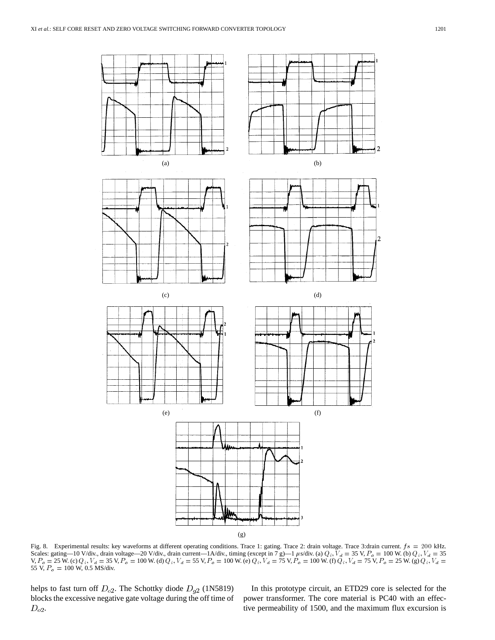

Fig. 8. Experimental results: key waveforms at different operating conditions. Trace 1: gating. Trace 2: drain voltage. Trace 3:drain current.  $fs = 200$  kHz. Scales: gating—10 V/div., drain voltage—20 V/div., drain current—1A/div., timing (except in  $\overline{1}$  g)—1  $\mu$ s/div. (a)  $Q_i$ ,  $\overline{V}_d = 35$  V,  $P_o = 100$  W. (b)  $Q_i$ ,  $V_d = 35$ V,  $P_o = 25$  W. (c)  $Q_i$ ,  $V_d = 35$  V,  $P_o = 100$  W. (d)  $Q_i$ ,  $V_d = 55$  V,  $P_o = 100$  W. (e)  $Q_i$ ,  $V_d = 75$  V,  $P_o = 100$  W. (f)  $Q_i$ ,  $V_d = 75$  V,  $P_o = 25$  W. (g)  $Q_i$ ,  $V_d = 75$ 55 V,  $P_o = 100$  W, 0.5 MS/div.

helps to fast turn off  $D_{o2}$ . The Schottky diode  $D_{g2}$  (1N5819) blocks the excessive negative gate voltage during the off time of  $D_{o2}$ .

In this prototype circuit, an ETD29 core is selected for the power transformer. The core material is PC40 with an effective permeability of 1500, and the maximum flux excursion is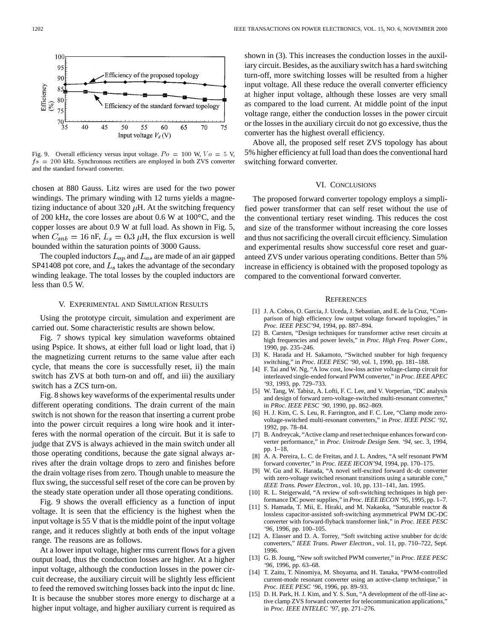

Fig. 9. Overall efficiency versus input voltage.  $Po = 100 \text{ W}$ ,  $Vo = 5 \text{ V}$ ,  $fs = 200$  kHz. Synchronous rectifiers are employed in both ZVS converter and the standard forward converter.

chosen at 880 Gauss. Litz wires are used for the two power windings. The primary winding with 12 turns yields a magnetizing inductance of about 320  $\mu$ H. At the switching frequency of 200 kHz, the core losses are about 0.6 W at  $100^{\circ}$ C, and the copper losses are about 0.9 W at full load. As shown in Fig. 5, when  $C_{snb} = 16$  nF,  $L_s = 0.3 \mu$ H, the flux excursion is well bounded within the saturation points of 3000 Gauss.

The coupled inductors  $L_{ap}$  and  $L_{as}$  are made of an air gapped SP41408 pot core, and  $L<sub>s</sub>$  takes the advantage of the secondary winding leakage. The total losses by the coupled inductors are less than 0.5 W.

## V. EXPERIMENTAL AND SIMULATION RESULTS

Using the prototype circuit, simulation and experiment are carried out. Some characteristic results are shown below.

Fig. 7 shows typical key simulation waveforms obtained using Pspice. It shows, at either full load or light load, that i) the magnetizing current returns to the same value after each cycle, that means the core is successfully reset, ii) the main switch has ZVS at both turn-on and off, and iii) the auxiliary switch has a ZCS turn-on.

Fig. 8 shows key waveforms of the experimental results under different operating conditions. The drain current of the main switch is not shown for the reason that inserting a current probe into the power circuit requires a long wire hook and it interferes with the normal operation of the circuit. But it is safe to judge that ZVS is always achieved in the main switch under all those operating conditions, because the gate signal always arrives after the drain voltage drops to zero and finishes before the drain voltage rises from zero. Though unable to measure the flux swing, the successful self reset of the core can be proven by the steady state operation under all those operating conditions.

Fig. 9 shows the overall efficiency as a function of input voltage. It is seen that the efficiency is the highest when the input voltage is 55 V that is the middle point of the input voltage range, and it reduces slightly at both ends of the input voltage range. The reasons are as follows.

At a lower input voltage, higher rms current flows for a given output load, thus the conduction losses are higher. At a higher input voltage, although the conduction losses in the power circuit decrease, the auxiliary circuit will be slightly less efficient to feed the removed switching losses back into the input dc line. It is because the snubber stores more energy to discharge at a higher input voltage, and higher auxiliary current is required as shown in (3). This increases the conduction losses in the auxiliary circuit. Besides, as the auxiliary switch has a hard switching turn-off, more switching losses will be resulted from a higher input voltage. All these reduce the overall converter efficiency at higher input voltage, although these losses are very small as compared to the load current. At middle point of the input voltage range, either the conduction losses in the power circuit or the losses in the auxiliary circuit do not go excessive, thus the converter has the highest overall efficiency.

Above all, the proposed self reset ZVS topology has about 5% higher efficiency at full load than does the conventional hard switching forward converter.

## VI. CONCLUSIONS

The proposed forward converter topology employs a simplified power transformer that can self reset without the use of the conventional tertiary reset winding. This reduces the cost and size of the transformer without increasing the core losses and thus not sacrificing the overall circuit efficiency. Simulation and experimental results show successful core reset and guaranteed ZVS under various operating conditions. Better than 5% increase in efficiency is obtained with the proposed topology as compared to the conventional forward converter.

#### **REFERENCES**

- [1] J. A. Cobos, O. Garcia, J. Uceda, J. Sebastian, and E. de la Cruz, "Comparison of high efficiency low output voltage forward topologies," in *Proc. IEEE PESC'94*, 1994, pp. 887–894.
- [2] B. Carsten, "Design techniques for transformer active reset circuits at high frequencies and power levels," in *Proc. High Freq. Power Conv.*, 1990, pp. 235–246.
- [3] K. Harada and H. Sakamoto, "Switched snubber for high frequency switching," in *Proc. IEEE PESC '90*, vol. 1, 1990, pp. 181–188.
- [4] F. Tai and W. Ng, "A low cost, low-loss active voltage-clamp circuit for interleaved single-ended forward PWM converter," in *Proc. IEEE APEC '93*, 1993, pp. 729–733.
- [5] W. Tang, W. Tabisz, A. Lofti, F. C. Lee, and V. Vorperian, "DC analysis and design of forward zero-voltage-switched multi-resonant converter," in *PRoc. IEEE PESC '90*, 1990, pp. 862–869.
- [6] H. J. Kim, C. S. Leu, R. Farrington, and F. C. Lee, "Clamp mode zerovoltage-switched multi-resonant converters," in *Proc. IEEE PESC '92*, 1992, pp. 78–84.
- [7] B. Andreycak, "Active clamp and reset technique enhances forward converter performance," in *Proc. Unitrode Design Sem. '94*, sec. 3, 1994, pp. 1–18.
- [8] A. A. Pereira, L. C. de Freitas, and J. L. Andres, "A self resonant PWM forward converter," in *Proc. IEEE IECON'94*, 1994, pp. 170–175.
- [9] W. Gu and K. Harada, "A novel self-excited forward dc-dc converter with zero-voltage switched resonant transitions using a saturable core," *IEEE Trans. Power Electron.*, vol. 10, pp. 131–141, Jan. 1995.
- [10] R. L. Steigerwald, "A review of soft-switching techniques in high performance DC power supplies," in *Proc. IEEE IECON '95*, 1995, pp. 1–7.
- [11] S. Hamada, T. Mii, E. Hiraki, and M. Nakaoka, "Saturable reactor & lossless capacitor-assisted soft-switching asymmetrical PWM DC-DC converter with forward-flyback transformer link," in *Proc. IEEE PESC '96*, 1996, pp. 100–105.
- [12] A. Elasser and D. A. Torrey, "Soft switching active snubber for dc/dc converters," *IEEE Trans. Power Electron.*, vol. 11, pp. 710–722, Sept. 1996.
- [13] G. B. Joung, "New soft switched PWM converter," in *Proc. IEEE PESC '96*, 1996, pp. 63–68.
- [14] T. Zaitu, T. Ninomiya, M. Shoyama, and H. Tanaka, "PWM-controlled current-mode resonant converter using an active-clamp technique," in *Proc. IEEE PESC '96*, 1996, pp. 89–93.
- [15] D. H. Park, H. J. Kim, and Y. S. Sun, "A development of the off-line active clamp ZVS forward converter for telecommunication applications," in *Proc. IEEE INTELEC '97*, pp. 271–276.